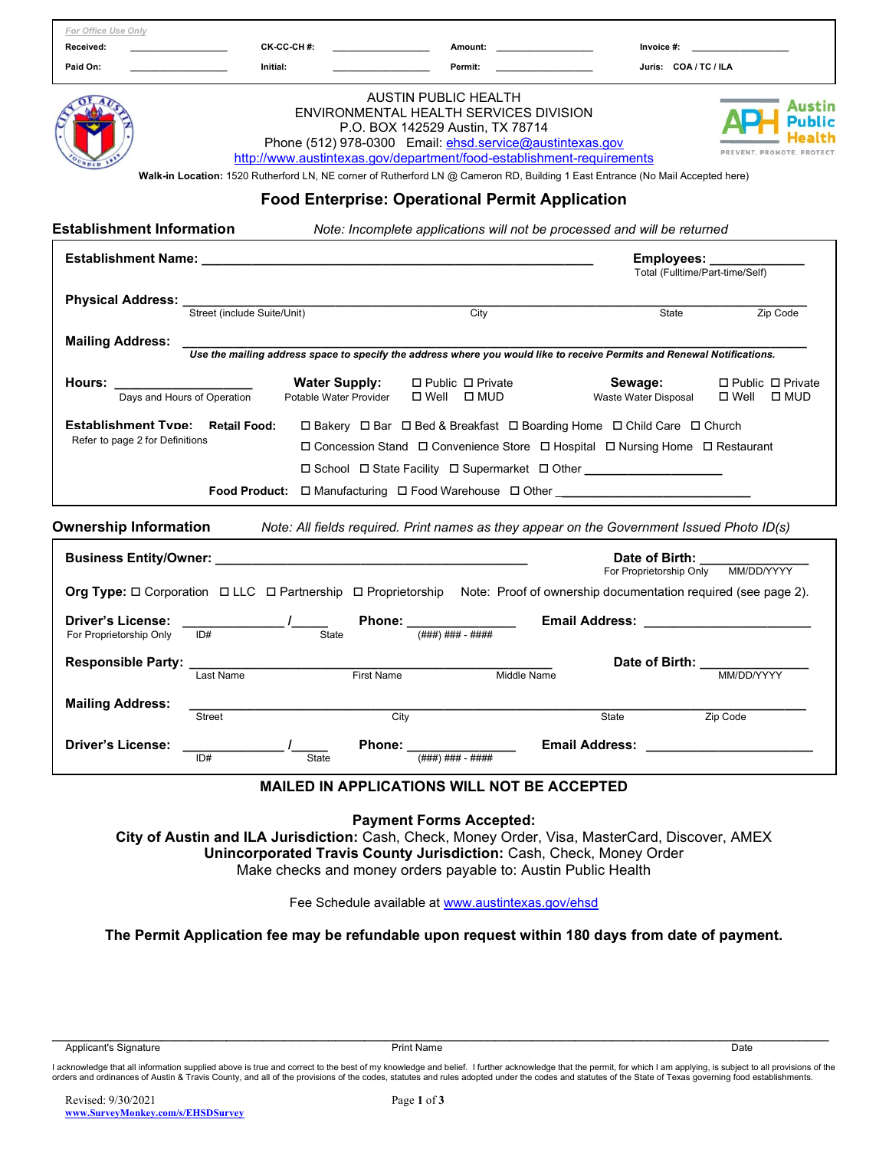| For Office Use Only<br>Received:                                                                                                                                                                                                                              | CK CC CH #:                                                         | <u> 1990 - Jan Barat, politik e</u>                                                                                                                                                                                             | Amount: ______________________<br>Invoice #:                                                                                                                                                             |                                                        |
|---------------------------------------------------------------------------------------------------------------------------------------------------------------------------------------------------------------------------------------------------------------|---------------------------------------------------------------------|---------------------------------------------------------------------------------------------------------------------------------------------------------------------------------------------------------------------------------|----------------------------------------------------------------------------------------------------------------------------------------------------------------------------------------------------------|--------------------------------------------------------|
| Paid On:                                                                                                                                                                                                                                                      | Initial:                                                            | Permit:                                                                                                                                                                                                                         |                                                                                                                                                                                                          | Juris: COA / TC / ILA                                  |
|                                                                                                                                                                                                                                                               |                                                                     | <b>AUSTIN PUBLIC HEALTH</b><br>ENVIRONMENTAL HEALTH SERVICES DIVISION<br>P.O. BOX 142529 Austin, TX 78714<br>Phone (512) 978-0300 Email: ehsd.service@austintexas.gov<br><b>Food Enterprise: Operational Permit Application</b> | http://www.austintexas.gov/department/food-establishment-requirements<br>Walk-in Location: 1520 Rutherford LN, NE corner of Rutherford LN @ Cameron RD, Building 1 East Entrance (No Mail Accepted here) |                                                        |
| <b>Establishment Information</b>                                                                                                                                                                                                                              |                                                                     |                                                                                                                                                                                                                                 | Note: Incomplete applications will not be processed and will be returned                                                                                                                                 |                                                        |
|                                                                                                                                                                                                                                                               |                                                                     |                                                                                                                                                                                                                                 | <b>Employees:</b><br>Total (Fulltime/Part-time/Self)                                                                                                                                                     |                                                        |
| Physical Address:<br>Street (include Suite/Unit) City City                                                                                                                                                                                                    |                                                                     |                                                                                                                                                                                                                                 |                                                                                                                                                                                                          | State<br>Zip Code                                      |
| <b>Mailing Address:</b>                                                                                                                                                                                                                                       |                                                                     |                                                                                                                                                                                                                                 | Use the mailing address space to specify the address where you would like to receive Permits and Renewal Notifications.                                                                                  |                                                        |
| Hours: the contract of the contract of the contract of the contract of the contract of the contract of the contract of the contract of the contract of the contract of the contract of the contract of the contract of the con<br>Days and Hours of Operation | <b>Water Supply:</b><br>Potable Water Provider                      | □ Public □ Private<br>$\Box$ Well $\Box$ MUD                                                                                                                                                                                    | Sewage:<br>Waste Water Disposal                                                                                                                                                                          | $\Box$ Public $\Box$ Private<br>$\Box$ Well $\Box$ MUD |
| <b>Ownership Information</b> Mote: All fields required. Print names as they appear on the Government Issued Photo ID(s)                                                                                                                                       |                                                                     |                                                                                                                                                                                                                                 | □ School □ State Facility □ Supermarket □ Other ________________________________<br>Food Product: □ Manufacturing □ Food Warehouse □ Other _________________________                                     |                                                        |
|                                                                                                                                                                                                                                                               |                                                                     |                                                                                                                                                                                                                                 | Date of Birth:                                                                                                                                                                                           | For Proprietorship Only MM/DD/YYYY                     |
| Org Type: □ Corporation □ LLC □ Partnership □ Proprietorship Note: Proof of ownership documentation required (see page 2).                                                                                                                                    |                                                                     |                                                                                                                                                                                                                                 |                                                                                                                                                                                                          |                                                        |
| <b>Driver's License:</b><br>ID#<br>For Proprietorship Only                                                                                                                                                                                                    | <b>State</b>                                                        | Phone: _<br>$(HHH)$ ### - ####                                                                                                                                                                                                  |                                                                                                                                                                                                          |                                                        |
| <b>Responsible Party:</b>                                                                                                                                                                                                                                     |                                                                     |                                                                                                                                                                                                                                 | Date of Birth:                                                                                                                                                                                           |                                                        |
| Last Name                                                                                                                                                                                                                                                     |                                                                     | <b>First Name</b>                                                                                                                                                                                                               | Middle Name                                                                                                                                                                                              | MM/DD/YYYY                                             |
| <b>Mailing Address:</b><br>Street                                                                                                                                                                                                                             |                                                                     | City                                                                                                                                                                                                                            | State                                                                                                                                                                                                    | Zip Code                                               |
| <b>Driver's License:</b><br>ID#                                                                                                                                                                                                                               | State                                                               | <b>Phone:</b><br>$($ ### $)$ ### $ -$ ####                                                                                                                                                                                      | <b>Email Address:</b>                                                                                                                                                                                    |                                                        |
|                                                                                                                                                                                                                                                               |                                                                     | <b>MAILED IN APPLICATIONS WILL NOT BE ACCEPTED</b>                                                                                                                                                                              |                                                                                                                                                                                                          |                                                        |
|                                                                                                                                                                                                                                                               | Unincorporated Travis County Jurisdiction: Cash, Check, Money Order | <b>Payment Forms Accepted:</b>                                                                                                                                                                                                  | City of Austin and ILA Jurisdiction: Cash, Check, Money Order, Visa, MasterCard, Discover, AMEX                                                                                                          |                                                        |

The Permit Application fee may be refundable upon request within 180 days from date of payment.

l acknowledge that all information supplied above is true and correct to the best of my knowledge and belief. I further acknowledge that the permit, for which I am applying, is subject to all provisions of the<br>orders and o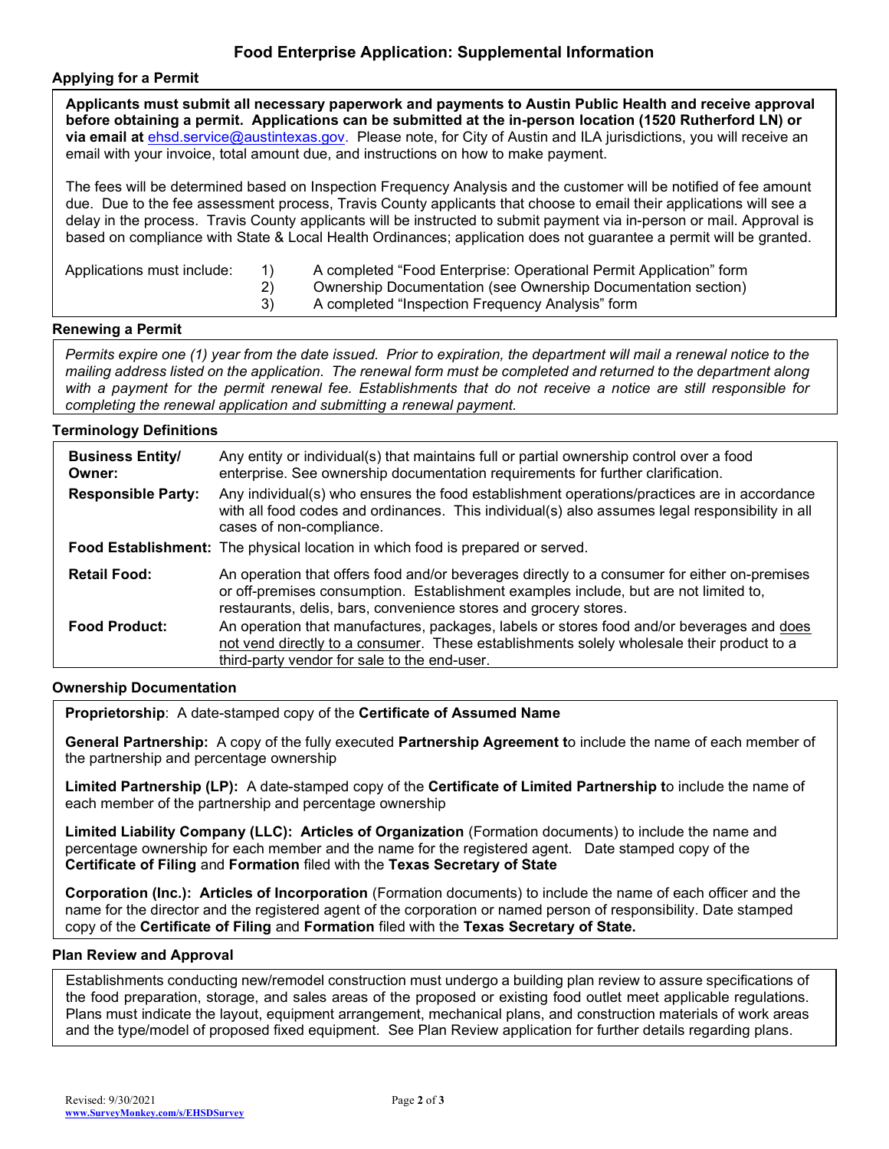# Food Enterprise Application: Supplemental Information

### Applying for a Permit

|                                                                                                                                                                                                                                                                                                                                                                                                                                           | Applicants must submit all necessary paperwork and payments to Austin Public Health and receive approval<br>before obtaining a permit. Applications can be submitted at the in-person location (1520 Rutherford LN) or<br>via email at ehsd.service@austintexas.gov. Please note, for City of Austin and ILA jurisdictions, you will receive an<br>email with your invoice, total amount due, and instructions on how to make payment.                                                    |  |  |
|-------------------------------------------------------------------------------------------------------------------------------------------------------------------------------------------------------------------------------------------------------------------------------------------------------------------------------------------------------------------------------------------------------------------------------------------|-------------------------------------------------------------------------------------------------------------------------------------------------------------------------------------------------------------------------------------------------------------------------------------------------------------------------------------------------------------------------------------------------------------------------------------------------------------------------------------------|--|--|
|                                                                                                                                                                                                                                                                                                                                                                                                                                           | The fees will be determined based on Inspection Frequency Analysis and the customer will be notified of fee amount<br>due. Due to the fee assessment process, Travis County applicants that choose to email their applications will see a<br>delay in the process. Travis County applicants will be instructed to submit payment via in-person or mail. Approval is<br>based on compliance with State & Local Health Ordinances; application does not guarantee a permit will be granted. |  |  |
| Applications must include:                                                                                                                                                                                                                                                                                                                                                                                                                | A completed "Food Enterprise: Operational Permit Application" form<br>1)<br>2)<br>Ownership Documentation (see Ownership Documentation section)<br>A completed "Inspection Frequency Analysis" form<br>3)                                                                                                                                                                                                                                                                                 |  |  |
| <b>Renewing a Permit</b>                                                                                                                                                                                                                                                                                                                                                                                                                  |                                                                                                                                                                                                                                                                                                                                                                                                                                                                                           |  |  |
| Permits expire one (1) year from the date issued. Prior to expiration, the department will mail a renewal notice to the<br>mailing address listed on the application. The renewal form must be completed and returned to the department along<br>with a payment for the permit renewal fee. Establishments that do not receive a notice are still responsible for<br>completing the renewal application and submitting a renewal payment. |                                                                                                                                                                                                                                                                                                                                                                                                                                                                                           |  |  |
| <b>Terminology Definitions</b>                                                                                                                                                                                                                                                                                                                                                                                                            |                                                                                                                                                                                                                                                                                                                                                                                                                                                                                           |  |  |
| <b>Business Entity/</b><br>Owner:                                                                                                                                                                                                                                                                                                                                                                                                         | Any entity or individual(s) that maintains full or partial ownership control over a food<br>enterprise. See ownership documentation requirements for further clarification.                                                                                                                                                                                                                                                                                                               |  |  |
| <b>Responsible Party:</b>                                                                                                                                                                                                                                                                                                                                                                                                                 | Any individual(s) who ensures the food establishment operations/practices are in accordance<br>with all food codes and ordinances. This individual(s) also assumes legal responsibility in all<br>cases of non-compliance.                                                                                                                                                                                                                                                                |  |  |
|                                                                                                                                                                                                                                                                                                                                                                                                                                           | Food Establishment: The physical location in which food is prepared or served.                                                                                                                                                                                                                                                                                                                                                                                                            |  |  |
| <b>Retail Food:</b>                                                                                                                                                                                                                                                                                                                                                                                                                       | An operation that offers food and/or beverages directly to a consumer for either on-premises<br>or off-premises consumption. Establishment examples include, but are not limited to,<br>restaurants, delis, bars, convenience stores and grocery stores.                                                                                                                                                                                                                                  |  |  |
| <b>Food Product:</b>                                                                                                                                                                                                                                                                                                                                                                                                                      | An operation that manufactures, packages, labels or stores food and/or beverages and does<br>not vend directly to a consumer. These establishments solely wholesale their product to a<br>third-party vendor for sale to the end-user.                                                                                                                                                                                                                                                    |  |  |

### Ownership Documentation

Proprietorship: A date-stamped copy of the Certificate of Assumed Name

General Partnership: A copy of the fully executed Partnership Agreement to include the name of each member of the partnership and percentage ownership

Limited Partnership (LP): A date-stamped copy of the Certificate of Limited Partnership to include the name of each member of the partnership and percentage ownership

Limited Liability Company (LLC): Articles of Organization (Formation documents) to include the name and percentage ownership for each member and the name for the registered agent. Date stamped copy of the Certificate of Filing and Formation filed with the Texas Secretary of State

Corporation (Inc.): Articles of Incorporation (Formation documents) to include the name of each officer and the name for the director and the registered agent of the corporation or named person of responsibility. Date stamped copy of the Certificate of Filing and Formation filed with the Texas Secretary of State.

#### Plan Review and Approval

Establishments conducting new/remodel construction must undergo a building plan review to assure specifications of the food preparation, storage, and sales areas of the proposed or existing food outlet meet applicable regulations. Plans must indicate the layout, equipment arrangement, mechanical plans, and construction materials of work areas and the type/model of proposed fixed equipment. See Plan Review application for further details regarding plans.